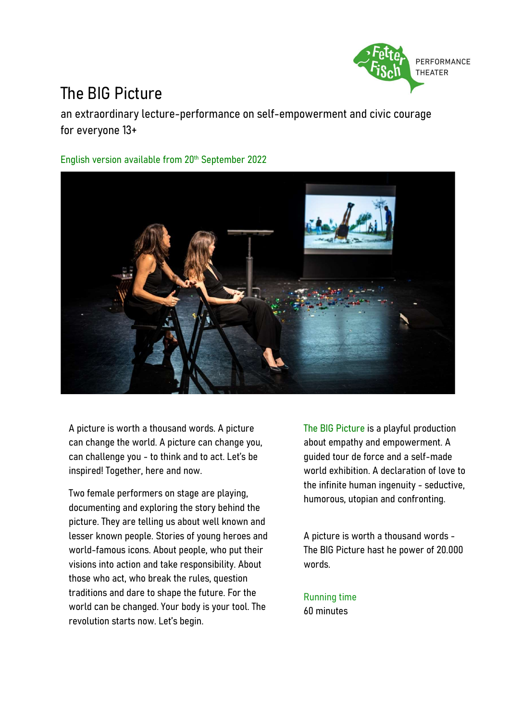

### The BIG Picture

an extraordinary lecture-performance on self-empowerment and civic courage for everyone 13+

English version available from 20th September 2022



A picture is worth a thousand words. A picture can change the world. A picture can change you, can challenge you - to think and to act. Let's be inspired! Together, here and now.

Two female performers on stage are playing, documenting and exploring the story behind the picture. They are telling us about well known and lesser known people. Stories of young heroes and world-famous icons. About people, who put their visions into action and take responsibility. About those who act, who break the rules, question traditions and dare to shape the future. For the world can be changed. Your body is your tool. The revolution starts now. Let's begin.

The BIG Picture is a playful production about empathy and empowerment. A guided tour de force and a self-made world exhibition. A declaration of love to the infinite human ingenuity - seductive, humorous, utopian and confronting.

A picture is worth a thousand words - The BIG Picture hast he power of 20.000 words.

Running time 60 minutes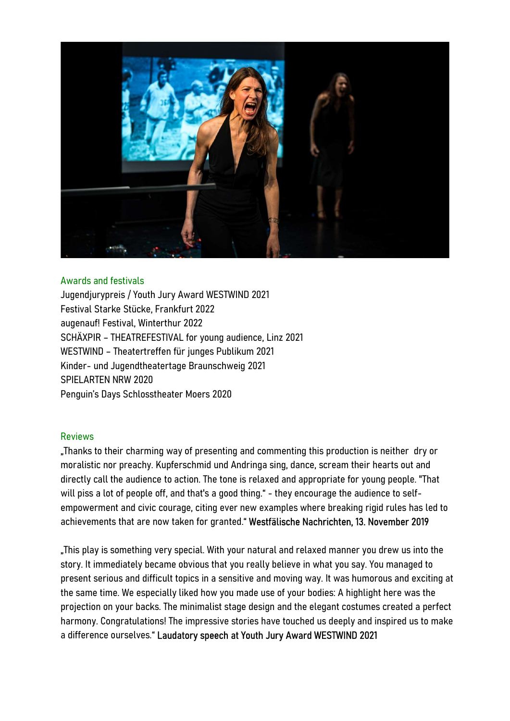

#### Awards and festivals

Jugendjurypreis / Youth Jury Award WESTWIND 2021 Festival Starke Stücke, Frankfurt 2022 augenauf! Festival, Winterthur 2022 SCHÄXPIR – THEATREFESTIVAL for young audience, Linz 2021 WESTWIND – Theatertreffen für junges Publikum 2021 Kinder- und Jugendtheatertage Braunschweig 2021 SPIELARTEN NRW 2020 Penguin's Days Schlosstheater Moers 2020

#### Reviews

"Thanks to their charming way of presenting and commenting this production is neither dry or moralistic nor preachy. Kupferschmid und Andringa sing, dance, scream their hearts out and directly call the audience to action. The tone is relaxed and appropriate for young people. "That will piss a lot of people off, and that's a good thing." - they encourage the audience to selfempowerment and civic courage, citing ever new examples where breaking rigid rules has led to achievements that are now taken for granted." Westfälische Nachrichten, 13. November 2019

"This play is something very special. With your natural and relaxed manner you drew us into the story. It immediately became obvious that you really believe in what you say. You managed to present serious and difficult topics in a sensitive and moving way. It was humorous and exciting at the same time. We especially liked how you made use of your bodies: A highlight here was the projection on your backs. The minimalist stage design and the elegant costumes created a perfect harmony. Congratulations! The impressive stories have touched us deeply and inspired us to make a difference ourselves." Laudatory speech at Youth Jury Award WESTWIND 2021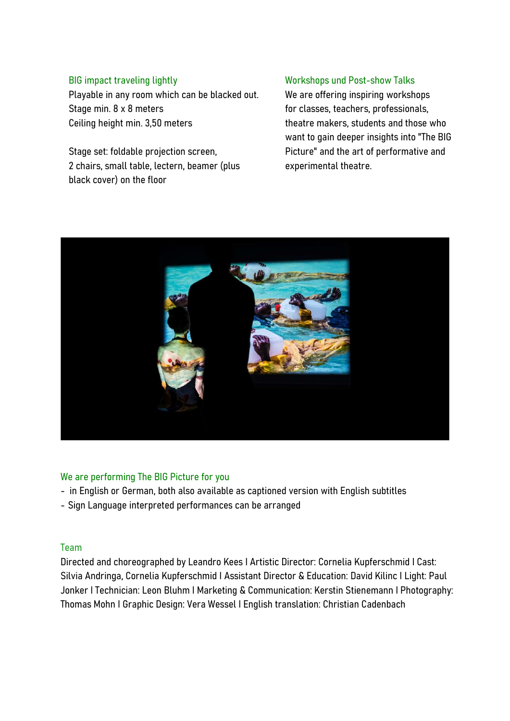#### BIG impact traveling lightly

Playable in any room which can be blacked out. Stage min. 8 x 8 meters Ceiling height min. 3,50 meters

Stage set: foldable projection screen, 2 chairs, small table, lectern, beamer (plus black cover) on the floor

#### Workshops und Post-show Talks

We are offering inspiring workshops for classes, teachers, professionals, theatre makers, students and those who want to gain deeper insights into "The BIG Picture" and the art of performative and experimental theatre.



#### We are performing The BIG Picture for you

- in English or German, both also available as captioned version with English subtitles<br>- Sign Language interpreted performances can be arranged
- 

## Team

Directed and choreographed by Leandro Kees I Artistic Director: Cornelia Kupferschmid I Cast: Silvia Andringa, Cornelia Kupferschmid I Assistant Director & Education: David Kilinc I Light: Paul Jonker I Technician: Leon Bluhm I Marketing & Communication: Kerstin Stienemann I Photography: Thomas Mohn I Graphic Design: Vera Wessel I English translation: Christian Cadenbach